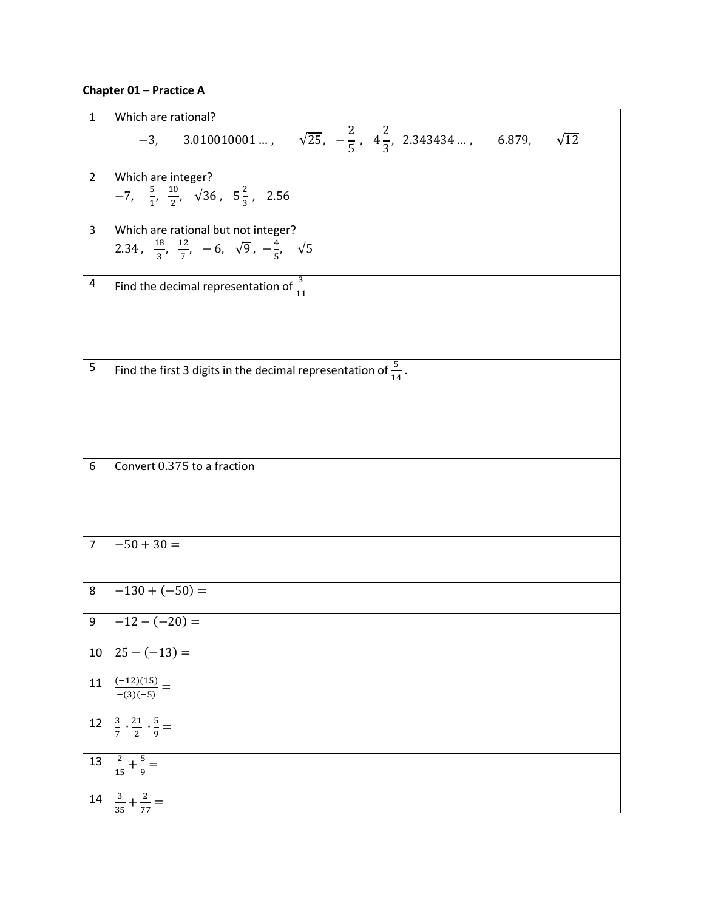## **Chapter 01 – Practice A**

| $\mathbf 1$    | Which are rational?                                                                                                         |
|----------------|-----------------------------------------------------------------------------------------------------------------------------|
|                | -3, 3.010010001 , $\sqrt{25}$ , $-\frac{2}{5}$ , $4\frac{2}{3}$ , 2.343434 , 6.879,<br>$\sqrt{12}$                          |
| $\overline{2}$ | Which are integer?<br>$-7, \frac{5}{1}, \frac{10}{2}, \sqrt{36}, 5\frac{2}{3}, 2.56$                                        |
| $\mathbf{3}$   | Which are rational but not integer?<br>2.34, $\frac{18}{3}$ , $\frac{12}{7}$ , -6, $\sqrt{9}$ , $-\frac{4}{5}$ , $\sqrt{5}$ |
| 4              | Find the decimal representation of $\frac{3}{11}$                                                                           |
| 5              | Find the first 3 digits in the decimal representation of $\frac{5}{14}$ .                                                   |
| 6              | Convert 0.375 to a fraction                                                                                                 |
| $\overline{7}$ | $-50 + 30 =$                                                                                                                |
| 8              | $-130 + (-50) =$                                                                                                            |
| 9              | $-12 - (-20) =$                                                                                                             |
| 10             | $25 - (-13) =$                                                                                                              |
| 11             | $\frac{(-12)(15)}{-(3)(-5)} =$                                                                                              |
| 12             | $\frac{3}{7} \cdot \frac{21}{2} \cdot \frac{5}{9} =$                                                                        |
| 13             | $\frac{2}{15} + \frac{5}{9} =$                                                                                              |
|                | $\frac{3}{35} + \frac{2}{77} =$                                                                                             |